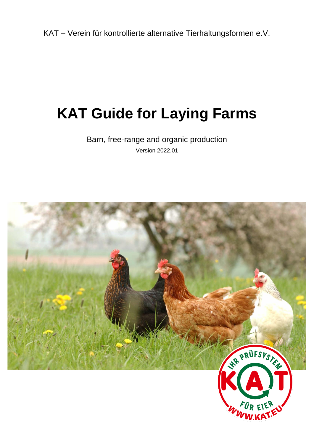KAT – Verein für kontrollierte alternative Tierhaltungsformen e.V.

# **KAT Guide for Laying Farms**

Barn, free-range and organic production Version 2022.01

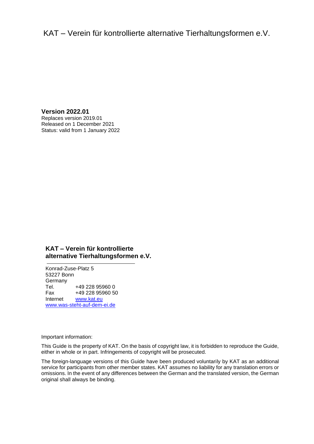# KAT – Verein für kontrollierte alternative Tierhaltungsformen e.V.

**Version 2022.01** Replaces version 2019.01 Released on 1 December 2021 Status: valid from 1 January 2022

#### **KAT – Verein für kontrollierte alternative Tierhaltungsformen e.V.**

Konrad-Zuse-Platz 5 53227 Bonn Germany Tel. +49 228 95960 0 Fax +49 228 95960 50<br>Internet www.kat.eu [www.kat.eu](file://///kat-fs01/Kontrollen/KAT/Prüfsystematik%20und%20Leitfäden/1.%20KAT-Prüfsystematik%20und%20Leitfäden%202017-2020/2_Leitfäden/In%20Bearbeitung/Vorlage/www.kat.ec) www.was-steht-auf-dem-ei.de

Important information:

This Guide is the property of KAT. On the basis of copyright law, it is forbidden to reproduce the Guide, either in whole or in part. Infringements of copyright will be prosecuted.

The foreign-language versions of this Guide have been produced voluntarily by KAT as an additional service for participants from other member states. KAT assumes no liability for any translation errors or omissions. In the event of any differences between the German and the translated version, the German original shall always be binding.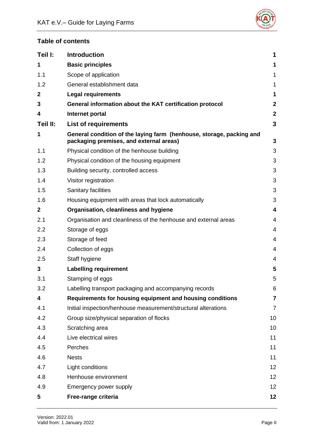

# **Table of contents**

| Teil I:        | <b>Introduction</b>                                                                                             | 1                       |
|----------------|-----------------------------------------------------------------------------------------------------------------|-------------------------|
| 1              | <b>Basic principles</b>                                                                                         | 1                       |
| 1.1            | Scope of application                                                                                            | $\mathbf 1$             |
| 1.2            | General establishment data                                                                                      | 1                       |
| $\overline{2}$ | <b>Legal requirements</b>                                                                                       | 1                       |
| 3              | General information about the KAT certification protocol                                                        | $\mathbf{2}$            |
| 4              | Internet portal                                                                                                 | $\mathbf{2}$            |
| Teil II:       | <b>List of requirements</b>                                                                                     | 3                       |
| 1              | General condition of the laying farm (henhouse, storage, packing and<br>packaging premises, and external areas) | 3                       |
| 1.1            | Physical condition of the henhouse building                                                                     | 3                       |
| 1.2            | Physical condition of the housing equipment                                                                     | 3                       |
| 1.3            | Building security, controlled access                                                                            | 3                       |
| 1.4            | Visitor registration                                                                                            | 3                       |
| 1.5            | Sanitary facilities                                                                                             | 3                       |
| 1.6            | Housing equipment with areas that lock automatically                                                            | 3                       |
| $\mathbf{2}$   | Organisation, cleanliness and hygiene                                                                           | 4                       |
| 2.1            | Organisation and cleanliness of the henhouse and external areas                                                 | $\overline{4}$          |
| 2.2            | Storage of eggs                                                                                                 | $\overline{4}$          |
| 2.3            | Storage of feed                                                                                                 | 4                       |
| 2.4            | Collection of eggs                                                                                              | 4                       |
| 2.5            | Staff hygiene                                                                                                   | $\overline{\mathbf{4}}$ |
| 3              | <b>Labelling requirement</b>                                                                                    | 5                       |
| 3.1            | Stamping of eggs                                                                                                | 5                       |
| 3.2            | Labelling transport packaging and accompanying records                                                          | 6                       |
| 4              | Requirements for housing equipment and housing conditions                                                       | 7                       |
| 4.1            | Initial inspection/henhouse measurement/structural alterations                                                  | $\overline{7}$          |
| 4.2            | Group size/physical separation of flocks                                                                        | 10                      |
| 4.3            | Scratching area                                                                                                 | 10                      |
| 4.4            | Live electrical wires                                                                                           | 11                      |
| 4.5            | Perches                                                                                                         | 11                      |
| 4.6            | <b>Nests</b>                                                                                                    | 11                      |
| 4.7            | Light conditions                                                                                                | 12                      |
| 4.8            | Henhouse environment                                                                                            | 12                      |
| 4.9            | Emergency power supply                                                                                          | 12                      |
| 5              | Free-range criteria                                                                                             | 12                      |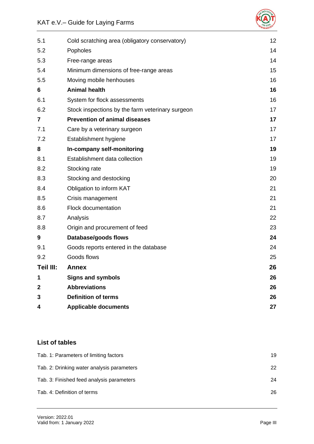

| 5.1       | Cold scratching area (obligatory conservatory)   | 12 |
|-----------|--------------------------------------------------|----|
| 5.2       | Popholes                                         | 14 |
| 5.3       | Free-range areas                                 | 14 |
| 5.4       | Minimum dimensions of free-range areas           | 15 |
| 5.5       | Moving mobile henhouses                          | 16 |
| 6         | <b>Animal health</b>                             | 16 |
| 6.1       | System for flock assessments                     | 16 |
| 6.2       | Stock inspections by the farm veterinary surgeon | 17 |
| 7         | <b>Prevention of animal diseases</b>             | 17 |
| 7.1       | Care by a veterinary surgeon                     | 17 |
| 7.2       | Establishment hygiene                            | 17 |
| 8         | In-company self-monitoring                       | 19 |
| 8.1       | Establishment data collection                    | 19 |
| 8.2       | Stocking rate                                    | 19 |
| 8.3       | Stocking and destocking                          | 20 |
| 8.4       | Obligation to inform KAT                         | 21 |
| 8.5       | Crisis management                                | 21 |
| 8.6       | <b>Flock documentation</b>                       | 21 |
| 8.7       | Analysis                                         | 22 |
| 8.8       | Origin and procurement of feed                   | 23 |
| 9         | Database/goods flows                             | 24 |
| 9.1       | Goods reports entered in the database            | 24 |
| 9.2       | Goods flows                                      | 25 |
| Teil III: | <b>Annex</b>                                     | 26 |
| 1         | <b>Signs and symbols</b>                         | 26 |
| 2         | <b>Abbreviations</b>                             | 26 |
| 3         | <b>Definition of terms</b>                       | 26 |
| 4         | <b>Applicable documents</b>                      | 27 |
|           |                                                  |    |

# **List of tables**

| Tab. 1: Parameters of limiting factors     | 19 |
|--------------------------------------------|----|
| Tab. 2: Drinking water analysis parameters | 22 |
| Tab. 3: Finished feed analysis parameters  | 24 |
| Tab. 4: Definition of terms                | 26 |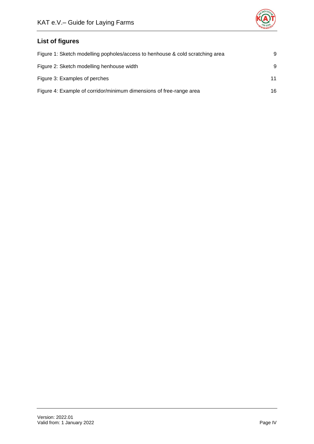

# **List of figures**

| Figure 1: Sketch modelling popholes/access to henhouse & cold scratching area | 9  |
|-------------------------------------------------------------------------------|----|
| Figure 2: Sketch modelling henhouse width                                     | 9  |
| Figure 3: Examples of perches                                                 | 11 |
| Figure 4: Example of corridor/minimum dimensions of free-range area           | 16 |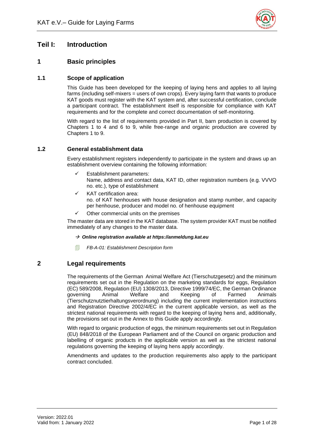

# <span id="page-5-0"></span>**Teil I: Introduction**

# <span id="page-5-1"></span>**1 Basic principles**

#### <span id="page-5-2"></span>**1.1 Scope of application**

This Guide has been developed for the keeping of laying hens and applies to all laying farms (including self-mixers = users of own crops). Every laying farm that wants to produce KAT goods must register with the KAT system and, after successful certification, conclude a participant contract. The establishment itself is responsible for compliance with KAT requirements and for the complete and correct documentation of self-monitoring.

With regard to the list of requirements provided in Part II, barn production is covered by Chapters 1 to 4 and 6 to 9, while free-range and organic production are covered by Chapters 1 to 9.

#### <span id="page-5-3"></span>**1.2 General establishment data**

Every establishment registers independently to participate in the system and draws up an establishment overview containing the following information:

- Establishment parameters: Name, address and contact data, KAT ID, other registration numbers (e.g. VVVO no. etc.), type of establishment
- KAT certification area: no. of KAT henhouses with house designation and stamp number, and capacity per henhouse, producer and model no. of henhouse equipment
- Other commercial units on the premises

The master data are stored in the KAT database. The system provider KAT must be notified immediately of any changes to the master data.

- → *Online registration available at https://anmeldung.kat.eu*
- *FB-A-01: Establishment Description form*

## <span id="page-5-4"></span>**2 Legal requirements**

The requirements of the German Animal Welfare Act (Tierschutzgesetz) and the minimum requirements set out in the Regulation on the marketing standards for eggs, Regulation (EC) 589/2008, Regulation (EU) 1308/2013, Directive 1999/74/EC, the German Ordinance governing Animal Welfare and Keeping of Farmed Animals (Tierschutznutztierhaltungsverordnung) including the current implementation instructions and Registration Directive 2002/4/EC in the current applicable version, as well as the strictest national requirements with regard to the keeping of laying hens and, additionally, the provisions set out in the Annex to this Guide apply accordingly.

With regard to organic production of eggs, the minimum requirements set out in Regulation (EU) 848/2018 of the European Parliament and of the Council on organic production and labelling of organic products in the applicable version as well as the strictest national regulations governing the keeping of laying hens apply accordingly.

Amendments and updates to the production requirements also apply to the participant contract concluded.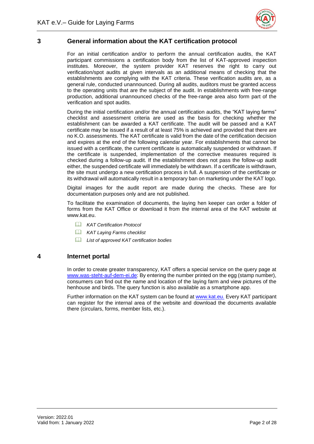

# <span id="page-6-0"></span>**3 General information about the KAT certification protocol**

For an initial certification and/or to perform the annual certification audits, the KAT participant commissions a certification body from the list of KAT-approved inspection institutes. Moreover, the system provider KAT reserves the right to carry out verification/spot audits at given intervals as an additional means of checking that the establishments are complying with the KAT criteria. These verification audits are, as a general rule, conducted unannounced. During all audits, auditors must be granted access to the operating units that are the subject of the audit. In establishments with free-range production, additional unannounced checks of the free-range area also form part of the verification and spot audits.

During the initial certification and/or the annual certification audits, the "KAT laying farms" checklist and assessment criteria are used as the basis for checking whether the establishment can be awarded a KAT certificate. The audit will be passed and a KAT certificate may be issued if a result of at least 75% is achieved and provided that there are no K.O. assessments. The KAT certificate is valid from the date of the certification decision and expires at the end of the following calendar year. For establishments that cannot be issued with a certificate, the current certificate is automatically suspended or withdrawn. If the certificate is suspended, implementation of the corrective measures required is checked during a follow-up audit. If the establishment does not pass the follow-up audit either, the suspended certificate will immediately be withdrawn. If a certificate is withdrawn, the site must undergo a new certification process in full. A suspension of the certificate or its withdrawal will automatically result in a temporary ban on marketing under the KAT logo.

Digital images for the audit report are made during the checks. These are for documentation purposes only and are not published.

To facilitate the examination of documents, the laying hen keeper can order a folder of forms from the KAT Office or download it from the internal area of the KAT website at www.kat.eu

- *KAT Certification Protocol*
- *KAT Laying Farms checklist*
- *List of approved KAT certification bodies*

#### <span id="page-6-1"></span>**4 Internet portal**

In order to create greater transparency, KAT offers a special service on the query page at [www.was-steht-auf-dem-ei.de:](http://www.was-steht-auf-dem-ei.de/) By entering the number printed on the egg (stamp number), consumers can find out the name and location of the laying farm and view pictures of the henhouse and birds. The query function is also available as a smartphone app.

Further information on the KAT system can be found at [www.kat.eu.](http://www.kat.eu/) Every KAT participant can register for the internal area of the website and download the documents available there (circulars, forms, member lists, etc.).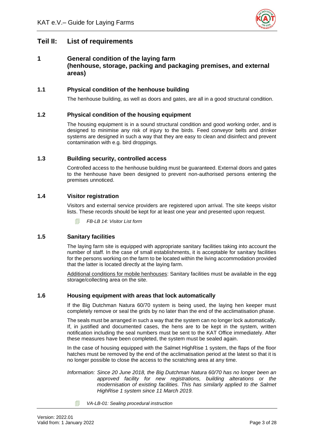

# <span id="page-7-0"></span>**Teil II: List of requirements**

#### <span id="page-7-1"></span>**1 General condition of the laying farm (henhouse, storage, packing and packaging premises, and external areas)**

#### <span id="page-7-2"></span>**1.1 Physical condition of the henhouse building**

The henhouse building, as well as doors and gates, are all in a good structural condition.

#### <span id="page-7-3"></span>**1.2 Physical condition of the housing equipment**

The housing equipment is in a sound structural condition and good working order, and is designed to minimise any risk of injury to the birds. Feed conveyor belts and drinker systems are designed in such a way that they are easy to clean and disinfect and prevent contamination with e.g. bird droppings.

#### <span id="page-7-4"></span>**1.3 Building security, controlled access**

Controlled access to the henhouse building must be guaranteed. External doors and gates to the henhouse have been designed to prevent non-authorised persons entering the premises unnoticed.

#### <span id="page-7-5"></span>**1.4 Visitor registration**

Visitors and external service providers are registered upon arrival. The site keeps visitor lists. These records should be kept for at least one year and presented upon request.

*FB-LB 14: Visitor List form* 

#### <span id="page-7-6"></span>**1.5 Sanitary facilities**

The laying farm site is equipped with appropriate sanitary facilities taking into account the number of staff. In the case of small establishments, it is acceptable for sanitary facilities for the persons working on the farm to be located within the living accommodation provided that the latter is located directly at the laying farm.

Additional conditions for mobile henhouses: Sanitary facilities must be available in the egg storage/collecting area on the site.

#### <span id="page-7-7"></span>**1.6 Housing equipment with areas that lock automatically**

If the Big Dutchman Natura 60/70 system is being used, the laying hen keeper must completely remove or seal the grids by no later than the end of the acclimatisation phase.

The seals must be arranged in such a way that the system can no longer lock automatically. If, in justified and documented cases, the hens are to be kept in the system, written notification including the seal numbers must be sent to the KAT Office immediately. After these measures have been completed, the system must be sealed again.

In the case of housing equipped with the Salmet HighRise 1 system, the flaps of the floor hatches must be removed by the end of the acclimatisation period at the latest so that it is no longer possible to close the access to the scratching area at any time.

- *Information: Since 20 June 2018, the Big Dutchman Natura 60/70 has no longer been an approved facility for new registrations, building alterations or the modernisation of existing facilities. This has similarly applied to the Salmet HighRise 1 system since 11 March 2019.*
	- *VA-LB-01: Sealing procedural instruction*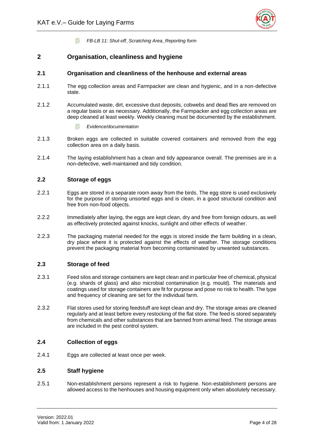

*FB-LB 11: Shut-off\_Scratching Area\_Reporting form*

#### <span id="page-8-0"></span>**2 Organisation, cleanliness and hygiene**

#### <span id="page-8-1"></span>**2.1 Organisation and cleanliness of the henhouse and external areas**

- 2.1.1 The egg collection areas and Farmpacker are clean and hygienic, and in a non-defective state.
- 2.1.2 Accumulated waste, dirt, excessive dust deposits, cobwebs and dead flies are removed on a regular basis or as necessary. Additionally, the Farmpacker and egg collection areas are deep cleaned at least weekly. Weekly cleaning must be documented by the establishment.
	- *Evidence/documentation*
- 2.1.3 Broken eggs are collected in suitable covered containers and removed from the egg collection area on a daily basis.
- 2.1.4 The laying establishment has a clean and tidy appearance overall. The premises are in a non-defective, well-maintained and tidy condition.

#### <span id="page-8-2"></span>**2.2 Storage of eggs**

- 2.2.1 Eggs are stored in a separate room away from the birds. The egg store is used exclusively for the purpose of storing unsorted eggs and is clean, in a good structural condition and free from non-food objects.
- 2.2.2 Immediately after laying, the eggs are kept clean, dry and free from foreign odours, as well as effectively protected against knocks, sunlight and other effects of weather.
- 2.2.3 The packaging material needed for the eggs is stored inside the farm building in a clean, dry place where it is protected against the effects of weather. The storage conditions prevent the packaging material from becoming contaminated by unwanted substances.

#### <span id="page-8-3"></span>**2.3 Storage of feed**

- 2.3.1 Feed silos and storage containers are kept clean and in particular free of chemical, physical (e.g. shards of glass) and also microbial contamination (e.g. mould). The materials and coatings used for storage containers are fit for purpose and pose no risk to health. The type and frequency of cleaning are set for the individual farm.
- 2.3.2 Flat stores used for storing feedstuff are kept clean and dry. The storage areas are cleaned regularly and at least before every restocking of the flat store. The feed is stored separately from chemicals and other substances that are banned from animal feed. The storage areas are included in the pest control system.

#### <span id="page-8-4"></span>**2.4 Collection of eggs**

2.4.1 Eggs are collected at least once per week.

#### <span id="page-8-5"></span>**2.5 Staff hygiene**

2.5.1 Non-establishment persons represent a risk to hygiene. Non-establishment persons are allowed access to the henhouses and housing equipment only when absolutely necessary.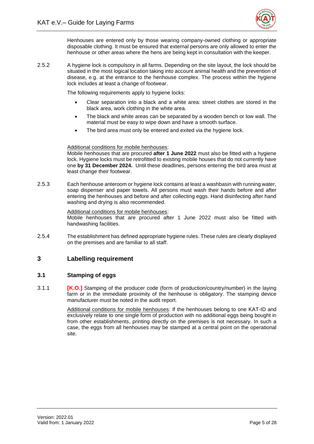

Henhouses are entered only by those wearing company-owned clothing or appropriate disposable clothing. It must be ensured that external persons are only allowed to enter the henhouse or other areas where the hens are being kept in consultation with the keeper.

2.5.2 A hygiene lock is compulsory in all farms. Depending on the site layout, the lock should be situated in the most logical location taking into account animal health and the prevention of disease, e.g. at the entrance to the henhouse complex. The process within the hygiene lock includes at least a change of footwear.

The following requirements apply to hygiene locks:

- Clear separation into a black and a white area: street clothes are stored in the black area, work clothing in the white area.
- The black and white areas can be separated by a wooden bench or low wall. The material must be easy to wipe down and have a smooth surface.
- The bird area must only be entered and exited via the hygiene lock.

#### Additional conditions for mobile henhouses:

Mobile henhouses that are procured **after 1 June 2022** must also be fitted with a hygiene lock. Hygiene locks must be retrofitted to existing mobile houses that do not currently have one **by 31 December 2024.** Until these deadlines, persons entering the bird area must at least change their footwear.

2.5.3 Each henhouse anteroom or hygiene lock contains at least a washbasin with running water, soap dispenser and paper towels. All persons must wash their hands before and after entering the henhouses and before and after collecting eggs. Hand disinfecting after hand washing and drying is also recommended.

#### Additional conditions for mobile henhouses:

Mobile henhouses that are procured after 1 June 2022 must also be fitted with handwashing facilities.

2.5.4 The establishment has defined appropriate hygiene rules. These rules are clearly displayed on the premises and are familiar to all staff.

#### <span id="page-9-0"></span>**3 Labelling requirement**

#### <span id="page-9-1"></span>**3.1 Stamping of eggs**

3.1.1 **[K.O.]** Stamping of the producer code (form of production/country/number) in the laying farm or in the immediate proximity of the henhouse is obligatory. The stamping device manufacturer must be noted in the audit report.

> Additional conditions for mobile henhouses: If the henhouses belong to one KAT-ID and exclusively relate to one single form of production with no additional eggs being bought in from other establishments, printing directly on the premises is not necessary. In such a case, the eggs from all henhouses may be stamped at a central point on the operational site.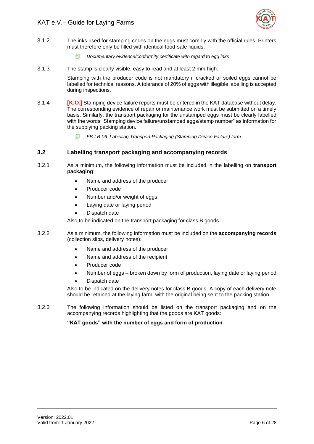

- 3.1.2 The inks used for stamping codes on the eggs must comply with the official rules. Printers must therefore only be filled with identical food-safe liquids.
	- *Documentary evidence/conformity certificate with regard to egg inks*
- 3.1.3 The stamp is clearly visible, easy to read and at least 2 mm high.

Stamping with the producer code is not mandatory if cracked or soiled eggs cannot be labelled for technical reasons. A tolerance of 20% of eggs with illegible labelling is accepted during inspections.

- 3.1.4 **[K.O.]** Stamping device failure reports must be entered in the KAT database without delay. The corresponding evidence of repair or maintenance work must be submitted on a timely basis. Similarly, the transport packaging for the unstamped eggs must be clearly labelled with the words "Stamping device failure/unstamped eggs/stamp number" as information for the supplying packing station.
	- *FB-LB-06: Labelling Transport Packaging (Stamping Device Failure) form*

#### <span id="page-10-0"></span>**3.2 Labelling transport packaging and accompanying records**

- 3.2.1 As a minimum, the following information must be included in the labelling on **transport packaging**:
	- Name and address of the producer
	- Producer code
	- Number and/or weight of eggs
	- Laying date or laying period
	- Dispatch date

Also to be indicated on the transport packaging for class B goods.

- 3.2.2 As a minimum, the following information must be included on the **accompanying records** (collection slips, delivery notes):
	- Name and address of the producer
	- Name and address of the recipient
	- Producer code
	- Number of eggs broken down by form of production, laying date or laying period
	- Dispatch date

Also to be indicated on the delivery notes for class B goods. A copy of each delivery note should be retained at the laying farm, with the original being sent to the packing station.

3.2.3 The following information should be listed on the transport packaging and on the accompanying records highlighting that the goods are KAT goods:

#### **"KAT goods" with the number of eggs and form of production**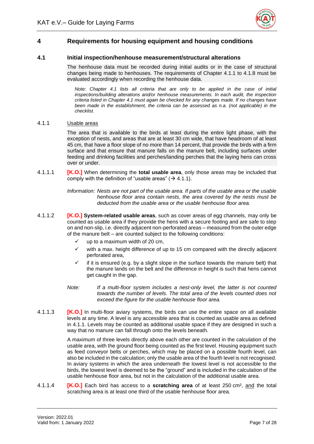

# <span id="page-11-0"></span>**4 Requirements for housing equipment and housing conditions**

#### <span id="page-11-1"></span>**4.1 Initial inspection/henhouse measurement/structural alterations**

The henhouse data must be recorded during initial audits or in the case of structural changes being made to henhouses. The requirements of Chapter 4.1.1 to 4.1.8 must be evaluated accordingly when recording the henhouse data.

*Note: Chapter 4.1 lists all criteria that are only to be applied in the case of initial inspections/building alterations and/or henhouse measurements. In each audit, the inspection criteria listed in Chapter 4.1 must again be checked for any changes made. If no changes have been made in the establishment, the criteria can be assessed as n.a. (not applicable) in the checklist.* 

#### 4.1.1 Usable areas

The area that is available to the birds at least during the entire light phase, with the exception of nests, and areas that are at least 30 cm wide, that have headroom of at least 45 cm, that have a floor slope of no more than 14 percent, that provide the birds with a firm surface and that ensure that manure falls on the manure belt, including surfaces under feeding and drinking facilities and perches/landing perches that the laying hens can cross over or under.

4.1.1.1 **[K.O.]** When determining the **total usable area**, only those areas may be included that comply with the definition of "usable areas" ( $\rightarrow$  4.1.1).

> *Information: Nests are not part of the usable area. If parts of the usable area or the usable henhouse floor area contain nests, the area covered by the nests must be deducted from the usable area or the usable henhouse floor area.*

- 4.1.1.2 **[K.O.] System-related usable areas**, such as cover areas of egg channels, may only be counted as usable area if they provide the hens with a secure footing and are safe to step on and non-slip, i.e. directly adjacent non-perforated areas – measured from the outer edge of the manure belt – are counted subject to the following conditions:
	- up to a maximum width of 20 cm,
	- with a max. height difference of up to 15 cm compared with the directly adjacent perforated area,
	- if it is ensured (e.g. by a slight slope in the surface towards the manure belt) that the manure lands on the belt and the difference in height is such that hens cannot get caught in the gap.
	- *Note: If a multi-floor system includes a nest-only level, the latter is not counted towards the number of levels. The total area of the levels counted does not exceed the figure for the usable henhouse floor area.*
- 4.1.1.3 **[K.O.]** In multi-floor aviary systems, the birds can use the entire space on all available levels at any time. A level is any accessible area that is counted as usable area as defined in 4.1.1. Levels may be counted as additional usable space if they are designed in such a way that no manure can fall through onto the levels beneath.

A maximum of three levels directly above each other are counted in the calculation of the usable area, with the ground floor being counted as the first level. Housing equipment such as feed conveyor belts or perches, which may be placed on a possible fourth level, can also be included in the calculation; only the usable area of the fourth level is not recognised. In aviary systems in which the area underneath the lowest level is not accessible to the birds, the lowest level is deemed to be the "ground" and is included in the calculation of the usable henhouse floor area, but not in the calculation of the additional usable area.

4.1.1.4 **[K.O.]** Each bird has access to a **scratching area** of at least 250 cm², and the total scratching area is at least one third of the usable henhouse floor area.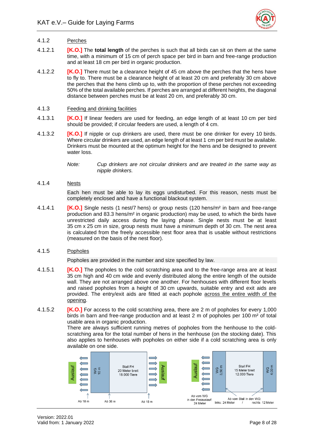

#### 4.1.2 Perches

- 4.1.2.1 **[K.O.]** The **total length** of the perches is such that all birds can sit on them at the same time, with a minimum of 15 cm of perch space per bird in barn and free-range production and at least 18 cm per bird in organic production.
- 4.1.2.2 **[K.O.]** There must be a clearance height of 45 cm above the perches that the hens have to fly to. There must be a clearance height of at least 20 cm and preferably 30 cm above the perches that the hens climb up to, with the proportion of these perches not exceeding 50% of the total available perches. If perches are arranged at different heights, the diagonal distance between perches must be at least 20 cm, and preferably 30 cm.
- 4.1.3 Feeding and drinking facilities
- 4.1.3.1 **[K.O.]** If linear feeders are used for feeding, an edge length of at least 10 cm per bird should be provided; if circular feeders are used, a length of 4 cm.
- 4.1.3.2 **[K.O.]** If nipple or cup drinkers are used, there must be one drinker for every 10 birds. Where circular drinkers are used, an edge length of at least 1 cm per bird must be available. Drinkers must be mounted at the optimum height for the hens and be designed to prevent water loss.
	- *Note: Cup drinkers are not circular drinkers and are treated in the same way as nipple drinkers.*

#### 4.1.4 Nests

Each hen must be able to lay its eggs undisturbed. For this reason, nests must be completely enclosed and have a functional blackout system.

4.1.4.1 **[K.O.]** Single nests (1 nest/7 hens) or group nests (120 hens/m² in barn and free-range production and 83.3 hens/m² in organic production) may be used, to which the birds have unrestricted daily access during the laying phase. Single nests must be at least 35 cm x 25 cm in size, group nests must have a minimum depth of 30 cm. The nest area is calculated from the freely accessible nest floor area that is usable without restrictions (measured on the basis of the nest floor).

#### 4.1.5 Popholes

Popholes are provided in the number and size specified by law.

- 4.1.5.1 **[K.O.]** The popholes to the cold scratching area and to the free-range area are at least 35 cm high and 40 cm wide and evenly distributed along the entire length of the outside wall. They are not arranged above one another. For henhouses with different floor levels and raised popholes from a height of 30 cm upwards, suitable entry and exit aids are provided. The entry/exit aids are fitted at each pophole across the entire width of the opening.
- 4.1.5.2 **[K.O.]** For access to the cold scratching area, there are 2 m of popholes for every 1,000 birds in barn and free-range production and at least 2 m of popholes per 100 m² of total usable area in organic production.

There are always sufficient running metres of popholes from the henhouse to the coldscratching area for the total number of hens in the henhouse (on the stocking date). This also applies to henhouses with popholes on either side if a cold scratching area is only available on one side.

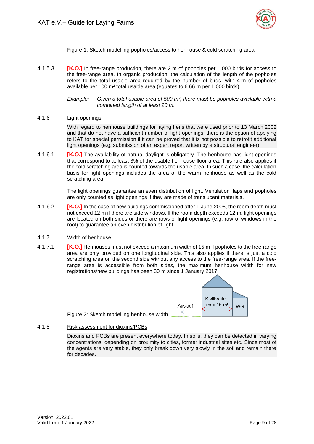

Figure 1: Sketch modelling popholes/access to henhouse & cold scratching area

<span id="page-13-0"></span>4.1.5.3 **[K.O.]** In free-range production, there are 2 m of popholes per 1,000 birds for access to the free-range area. In organic production, the calculation of the length of the popholes refers to the total usable area required by the number of birds, with 4 m of popholes available per 100 m² total usable area (equates to 6.66 m per 1,000 birds).

> *Example: Given a total usable area of 500 m², there must be popholes available with a combined length of at least 20 m.*

#### 4.1.6 Light openings

With regard to henhouse buildings for laying hens that were used prior to 13 March 2002 and that do not have a sufficient number of light openings, there is the option of applying to KAT for special permission if it can be proved that it is not possible to retrofit additional light openings (e.g. submission of an expert report written by a structural engineer).

4.1.6.1 **[K.O.]** The availability of natural daylight is obligatory. The henhouse has light openings that correspond to at least 3% of the usable henhouse floor area. This rule also applies if the cold scratching area is counted towards the usable area. In such a case, the calculation basis for light openings includes the area of the warm henhouse as well as the cold scratching area.

> The light openings guarantee an even distribution of light. Ventilation flaps and popholes are only counted as light openings if they are made of translucent materials.

- 4.1.6.2 **[K.O.]** In the case of new buildings commissioned after 1 June 2005, the room depth must not exceed 12 m if there are side windows. If the room depth exceeds 12 m, light openings are located on both sides or there are rows of light openings (e.g. row of windows in the roof) to guarantee an even distribution of light.
- 4.1.7 Width of henhouse
- 4.1.7.1 **[K.O.]** Henhouses must not exceed a maximum width of 15 m if popholes to the free-range area are only provided on one longitudinal side. This also applies if there is just a cold scratching area on the second side without any access to the free-range area. If the freerange area is accessible from both sides, the maximum henhouse width for new registrations/new buildings has been 30 m since 1 January 2017.



Figure 2: Sketch modelling henhouse width

<span id="page-13-1"></span>4.1.8 Risk assessment for dioxins/PCBs

Dioxins and PCBs are present everywhere today. In soils, they can be detected in varying concentrations, depending on proximity to cities, former industrial sites etc. Since most of the agents are very stable, they only break down very slowly in the soil and remain there for decades.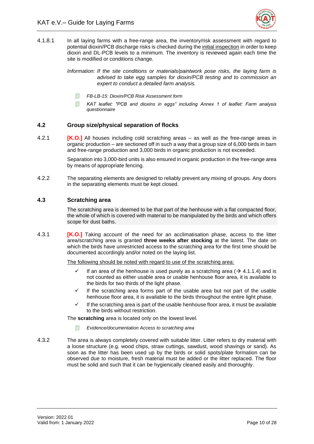

4.1.8.1 In all laying farms with a free-range area, the inventory/risk assessment with regard to potential dioxin/PCB discharge risks is checked during the initial inspection in order to keep dioxin and DL-PCB levels to a minimum. The inventory is reviewed again each time the site is modified or conditions change.

> *Information: If the site conditions or materials/paintwork pose risks, the laying farm is advised to take egg samples for dioxin/PCB testing and to commission an expert to conduct a detailed farm analysis.*

- *FB-LB-15: Dioxin/PCB Risk Assessment form*
- *KAT leaflet: "PCB and dioxins in eggs" including Annex 1 of leaflet: Farm analysis questionnaire*

#### <span id="page-14-0"></span>**4.2 Group size/physical separation of flocks**

4.2.1 **[K.O.]** All houses including cold scratching areas – as well as the free-range areas in organic production – are sectioned off in such a way that a group size of 6,000 birds in barn and free-range production and 3,000 birds in organic production is not exceeded.

> Separation into 3,000-bird units is also ensured in organic production in the free-range area by means of appropriate fencing.

4.2.2 The separating elements are designed to reliably prevent any mixing of groups. Any doors in the separating elements must be kept closed.

#### <span id="page-14-1"></span>**4.3 Scratching area**

The scratching area is deemed to be that part of the henhouse with a flat compacted floor, the whole of which is covered with material to be manipulated by the birds and which offers scope for dust baths.

4.3.1 **[K.O.]** Taking account of the need for an acclimatisation phase, access to the litter area/scratching area is granted **three weeks after stocking** at the latest. The date on which the birds have unrestricted access to the scratching area for the first time should be documented accordingly and/or noted on the laying list.

The following should be noted with regard to use of the scratching area:

- $\checkmark$  If an area of the henhouse is used purely as a scratching area ( $\Rightarrow$  4.1.1.4) and is not counted as either usable area or usable henhouse floor area, it is available to the birds for two thirds of the light phase.
- If the scratching area forms part of the usable area but not part of the usable henhouse floor area, it is available to the birds throughout the entire light phase.
- If the scratching area is part of the usable henhouse floor area, it must be available to the birds without restriction.

The **scratching** area is located only on the lowest level.

- *Evidence/documentation Access to scratching area*
- 4.3.2 The area is always completely covered with suitable litter. Litter refers to dry material with a loose structure (e.g. wood chips, straw cuttings, sawdust, wood shavings or sand). As soon as the litter has been used up by the birds or solid spots/plate formation can be observed due to moisture, fresh material must be added or the litter replaced. The floor must be solid and such that it can be hygienically cleaned easily and thoroughly.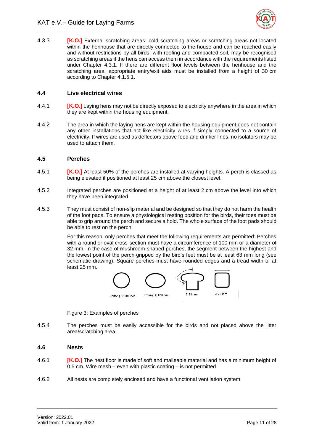

4.3.3 **[K.O.]** External scratching areas: cold scratching areas or scratching areas not located within the henhouse that are directly connected to the house and can be reached easily and without restrictions by all birds, with roofing and compacted soil, may be recognised as scratching areas if the hens can access them in accordance with the requirements listed under Chapter 4.3.1. If there are different floor levels between the henhouse and the scratching area, appropriate entry/exit aids must be installed from a height of 30 cm according to Chapter 4.1.5.1.

#### <span id="page-15-0"></span>**4.4 Live electrical wires**

- 4.4.1 **[K.O.]** Laying hens may not be directly exposed to electricity anywhere in the area in which they are kept within the housing equipment.
- 4.4.2 The area in which the laying hens are kept within the housing equipment does not contain any other installations that act like electricity wires if simply connected to a source of electricity. If wires are used as deflectors above feed and drinker lines, no isolators may be used to attach them.

#### <span id="page-15-1"></span>**4.5 Perches**

- 4.5.1 **[K.O.]** At least 50% of the perches are installed at varying heights. A perch is classed as being elevated if positioned at least 25 cm above the closest level.
- 4.5.2 Integrated perches are positioned at a height of at least 2 cm above the level into which they have been integrated.
- 4.5.3 They must consist of non-slip material and be designed so that they do not harm the health of the foot pads. To ensure a physiological resting position for the birds, their toes must be able to grip around the perch and secure a hold. The whole surface of the foot pads should be able to rest on the perch.

For this reason, only perches that meet the following requirements are permitted: Perches with a round or oval cross-section must have a circumference of 100 mm or a diameter of 32 mm. In the case of mushroom-shaped perches, the segment between the highest and the lowest point of the perch gripped by the bird's feet must be at least 63 mm long (see schematic drawing). Square perches must have rounded edges and a tread width of at least 25 mm.



Figure 3: Examples of perches

<span id="page-15-3"></span>4.5.4 The perches must be easily accessible for the birds and not placed above the litter area/scratching area.

#### <span id="page-15-2"></span>**4.6 Nests**

- 4.6.1 **[K.O.]** The nest floor is made of soft and malleable material and has a minimum height of 0.5 cm. Wire mesh – even with plastic coating – is not permitted.
- 4.6.2 All nests are completely enclosed and have a functional ventilation system.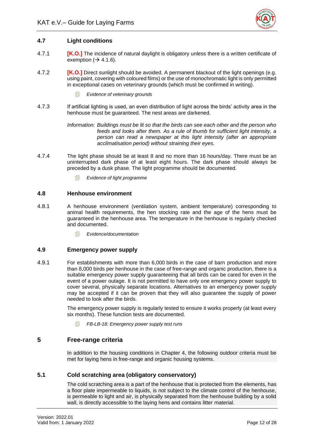

#### <span id="page-16-0"></span>**4.7 Light conditions**

- 4.7.1 **[K.O.]** The incidence of natural daylight is obligatory unless there is a written certificate of exemption ( $\rightarrow$  4.1.6).
- 4.7.2 **[K.O.]** Direct sunlight should be avoided. A permanent blackout of the light openings (e.g. using paint, covering with coloured films) or the use of monochromatic light is only permitted in exceptional cases on veterinary grounds (which must be confirmed in writing).
	- *Evidence of veterinary grounds*
- 4.7.3 If artificial lighting is used, an even distribution of light across the birds' activity area in the henhouse must be guaranteed. The nest areas are darkened.

*Information: Buildings must be lit so that the birds can see each other and the person who feeds and looks after them. As a rule of thumb for sufficient light intensity, a person can read a newspaper at this light intensity (after an appropriate acclimatisation period) without straining their eyes.* 

- 4.7.4 The light phase should be at least 8 and no more than 16 hours/day. There must be an uninterrupted dark phase of at least eight hours. The dark phase should always be preceded by a dusk phase. The light programme should be documented.
	- *Evidence of light programme*

#### <span id="page-16-1"></span>**4.8 Henhouse environment**

- 4.8.1 A henhouse environment (ventilation system, ambient temperature) corresponding to animal health requirements, the hen stocking rate and the age of the hens must be guaranteed in the henhouse area. The temperature in the henhouse is regularly checked and documented.
	- *Evidence/documentation*

#### <span id="page-16-2"></span>**4.9 Emergency power supply**

4.9.1 For establishments with more than 6,000 birds in the case of barn production and more than 8,000 birds per henhouse in the case of free-range and organic production, there is a suitable emergency power supply guaranteeing that all birds can be cared for even in the event of a power outage. It is not permitted to have only one emergency power supply to cover several, physically separate locations. Alternatives to an emergency power supply may be accepted if it can be proven that they will also guarantee the supply of power needed to look after the birds.

> The emergency power supply is regularly tested to ensure it works properly (at least every six months). These function tests are documented.

*FB-LB-18: Emergency power supply test runs*

#### <span id="page-16-3"></span>**5 Free-range criteria**

In addition to the housing conditions in Chapter 4, the following outdoor criteria must be met for laying hens in free-range and organic housing systems.

#### <span id="page-16-4"></span>**5.1 Cold scratching area (obligatory conservatory)**

The cold scratching area is a part of the henhouse that is protected from the elements, has a floor plate impermeable to liquids, is not subject to the climate control of the henhouse, is permeable to light and air, is physically separated from the henhouse building by a solid wall, is directly accessible to the laying hens and contains litter material.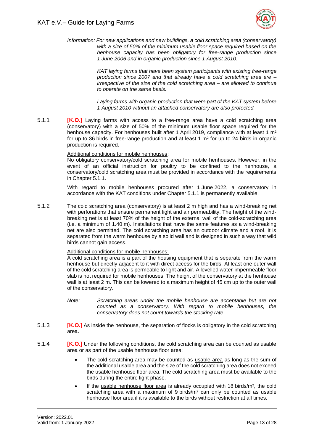

*Information: For new applications and new buildings, a cold scratching area (conservatory) with a size of 50% of the minimum usable floor space required based on the henhouse capacity has been obligatory for free-range production since 1 June 2006 and in organic production since 1 August 2010.* 

> *KAT laying farms that have been system participants with existing free-range production since 2007 and that already have a cold scratching area are – irrespective of the size of the cold scratching area – are allowed to continue to operate on the same basis.*

> *Laying farms with organic production that were part of the KAT system before 1 August 2010 without an attached conservatory are also protected.*

5.1.1 **[K.O.]** Laying farms with access to a free-range area have a cold scratching area (conservatory) with a size of 50% of the minimum usable floor space required for the henhouse capacity. For henhouses built after 1 April 2019, compliance with at least 1 m<sup>2</sup> for up to 36 birds in free-range production and at least 1 m² for up to 24 birds in organic production is required.

#### Additional conditions for mobile henhouses:

No obligatory conservatory/cold scratching area for mobile henhouses. However, in the event of an official instruction for poultry to be confined to the henhouse, a conservatory/cold scratching area must be provided in accordance with the requirements in Chapter 5.1.1.

With regard to mobile henhouses procured after 1 June 2022, a conservatory in accordance with the KAT conditions under Chapter 5.1.1 is permanently available.

5.1.2 The cold scratching area (conservatory) is at least 2 m high and has a wind-breaking net with perforations that ensure permanent light and air permeability. The height of the windbreaking net is at least 70% of the height of the external wall of the cold-scratching area (i.e. a minimum of 1.40 m). Installations that have the same features as a wind-breaking net are also permitted. The cold scratching area has an outdoor climate and a roof. It is separated from the warm henhouse by a solid wall and is designed in such a way that wild birds cannot gain access.

#### Additional conditions for mobile henhouses:

A cold scratching area is a part of the housing equipment that is separate from the warm henhouse but directly adjacent to it with direct access for the birds. At least one outer wall of the cold scratching area is permeable to light and air. A levelled water-impermeable floor slab is not required for mobile henhouses. The height of the conservatory at the henhouse wall is at least 2 m. This can be lowered to a maximum height of 45 cm up to the outer wall of the conservatory.

- *Note: Scratching areas under the mobile henhouse are acceptable but are not counted as a conservatory. With regard to mobile henhouses, the conservatory does not count towards the stocking rate.*
- 5.1.3 **[K.O.]** As inside the henhouse, the separation of flocks is obligatory in the cold scratching area.
- 5.1.4 **[K.O.]** Under the following conditions, the cold scratching area can be counted as usable area or as part of the usable henhouse floor area:
	- The cold scratching area may be counted as usable area as long as the sum of the additional usable area and the size of the cold scratching area does not exceed the usable henhouse floor area. The cold scratching area must be available to the birds during the entire light phase.
	- If the usable henhouse floor area is already occupied with 18 birds/m<sup>2</sup>, the cold scratching area with a maximum of 9 birds/ $m<sup>2</sup>$  can only be counted as usable henhouse floor area if it is available to the birds without restriction at all times.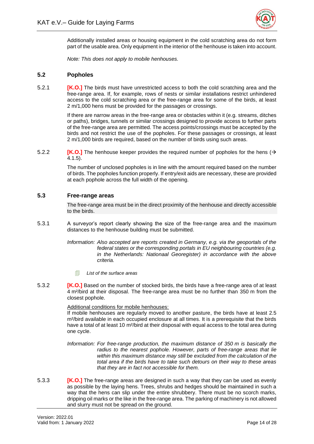

Additionally installed areas or housing equipment in the cold scratching area do not form part of the usable area. Only equipment in the interior of the henhouse is taken into account.

*Note: This does not apply to mobile henhouses.* 

#### <span id="page-18-0"></span>**5.2 Popholes**

5.2.1 **[K.O.]** The birds must have unrestricted access to both the cold scratching area and the free-range area. If, for example, rows of nests or similar installations restrict unhindered access to the cold scratching area or the free-range area for some of the birds, at least 2 m/1,000 hens must be provided for the passages or crossings.

> If there are narrow areas in the free-range area or obstacles within it (e.g. streams, ditches or paths), bridges, tunnels or similar crossings designed to provide access to further parts of the free-range area are permitted. The access points/crossings must be accepted by the birds and not restrict the use of the popholes. For these passages or crossings, at least 2 m/1,000 birds are required, based on the number of birds using such areas.

5.2.2 **[K.O.]** The henhouse keeper provides the required number of popholes for the hens (→ 4.1.5).

> The number of unclosed popholes is in line with the amount required based on the number of birds. The popholes function properly. If entry/exit aids are necessary, these are provided at each pophole across the full width of the opening.

#### <span id="page-18-1"></span>**5.3 Free-range areas**

The free-range area must be in the direct proximity of the henhouse and directly accessible to the birds.

5.3.1 A surveyor's report clearly showing the size of the free-range area and the maximum distances to the henhouse building must be submitted.

> *Information: Also accepted are reports created in Germany, e.g. via the geoportals of the federal states or the corresponding portals in EU neighbouring countries (e.g. in the Netherlands: Nationaal Georegister) in accordance with the above criteria.*

- *List of the surface areas*
- 5.3.2 **[K.O.]** Based on the number of stocked birds, the birds have a free-range area of at least 4 m²/bird at their disposal. The free-range area must be no further than 350 m from the closest pophole.

Additional conditions for mobile henhouses:

If mobile henhouses are regularly moved to another pasture, the birds have at least 2.5 m²/bird available in each occupied enclosure at all times. It is a prerequisite that the birds have a total of at least 10 m<sup>2</sup>/bird at their disposal with equal access to the total area during one cycle.

- *Information: For free-range production, the maximum distance of 350 m is basically the radius to the nearest pophole. However, parts of free-range areas that lie within this maximum distance may still be excluded from the calculation of the total area if the birds have to take such detours on their way to these areas that they are in fact not accessible for them.*
- 5.3.3 **[K.O.]** The free-range areas are designed in such a way that they can be used as evenly as possible by the laying hens. Trees, shrubs and hedges should be maintained in such a way that the hens can slip under the entire shrubbery. There must be no scorch marks, dripping oil marks or the like in the free-range area. The parking of machinery is not allowed and slurry must not be spread on the ground.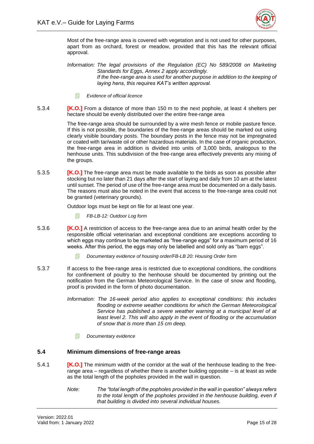

Most of the free-range area is covered with vegetation and is not used for other purposes, apart from as orchard, forest or meadow, provided that this has the relevant official approval.

*Information: The legal provisions of the Regulation (EC) No 589/2008 on Marketing Standards for Eggs, Annex 2 apply accordingly. If the free-range area is used for another purpose in addition to the keeping of laying hens, this requires KAT's written approval.* 

- *Evidence of official licence*
- 5.3.4 **[K.O.]** From a distance of more than 150 m to the next pophole, at least 4 shelters per hectare should be evenly distributed over the entire free-range area

The free-range area should be surrounded by a wire mesh fence or mobile pasture fence. If this is not possible, the boundaries of the free-range areas should be marked out using clearly visible boundary posts. The boundary posts in the fence may not be impregnated or coated with tar/waste oil or other hazardous materials. In the case of organic production, the free-range area in addition is divided into units of 3,000 birds, analogous to the henhouse units. This subdivision of the free-range area effectively prevents any mixing of the groups.

5.3.5 **[K.O.]** The free-range area must be made available to the birds as soon as possible after stocking but no later than 21 days after the start of laying and daily from 10 am at the latest until sunset. The period of use of the free-range area must be documented on a daily basis. The reasons must also be noted in the event that access to the free-range area could not be granted (veterinary grounds).

Outdoor logs must be kept on file for at least one year.

- *FB-LB-12: Outdoor Log form*
- 5.3.6 **[K.O.]** A restriction of access to the free-range area due to an animal health order by the responsible official veterinarian and exceptional conditions are exceptions according to which eggs may continue to be marketed as "free-range eggs" for a maximum period of 16 weeks. After this period, the eggs may only be labelled and sold only as "barn eggs".
	- *Documentary evidence of housing order/FB-LB 20: Housing Order form*
- 5.3.7 If access to the free-range area is restricted due to exceptional conditions, the conditions for confinement of poultry to the henhouse should be documented by printing out the notification from the German Meteorological Service. In the case of snow and flooding, proof is provided in the form of photo documentation.
	- *Information: The 16-week period also applies to exceptional conditions: this includes flooding or extreme weather conditions for which the German Meteorological Service has published a severe weather warning at a municipal level of at*  least level 2. This will also apply in the event of flooding or the accumulation *of snow that is more than 15 cm deep.* 
		- *Documentary evidence*

#### <span id="page-19-0"></span>**5.4 Minimum dimensions of free-range areas**

- 5.4.1 **[K.O.]** The minimum width of the corridor at the wall of the henhouse leading to the freerange area – regardless of whether there is another building opposite – is at least as wide as the total length of the popholes provided in the wall in question.
	- *Note: The "total length of the popholes provided in the wall in question" always refers to the total length of the popholes provided in the henhouse building, even if that building is divided into several individual houses.*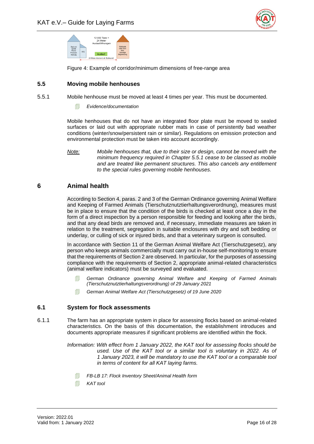



Figure 4: Example of corridor/minimum dimensions of free-range area

#### <span id="page-20-3"></span><span id="page-20-0"></span>**5.5 Moving mobile henhouses**

- 5.5.1 Mobile henhouse must be moved at least 4 times per year. This must be documented.
	- *Evidence/documentation*

Mobile henhouses that do not have an integrated floor plate must be moved to sealed surfaces or laid out with appropriate rubber mats in case of persistently bad weather conditions (winter/snow/persistent rain or similar). Regulations on emission protection and environmental protection must be taken into account accordingly.

#### <span id="page-20-1"></span>**6 Animal health**

According to Section 4, paras. 2 and 3 of the German Ordinance governing Animal Welfare and Keeping of Farmed Animals (Tierschutznutztierhaltungsverordnung), measures must be in place to ensure that the condition of the birds is checked at least once a day in the form of a direct inspection by a person responsible for feeding and looking after the birds, and that any dead birds are removed and, if necessary, immediate measures are taken in relation to the treatment, segregation in suitable enclosures with dry and soft bedding or underlay, or culling of sick or injured birds, and that a veterinary surgeon is consulted.

In accordance with Section 11 of the German Animal Welfare Act (Tierschutzgesetz), any person who keeps animals commercially must carry out in-house self-monitoring to ensure that the requirements of Section 2 are observed. In particular, for the purposes of assessing compliance with the requirements of Section 2, appropriate animal-related characteristics (animal welfare indicators) must be surveyed and evaluated.

- *German Ordinance governing Animal Welfare and Keeping of Farmed Animals (Tierschutznutztierhaltungsverordnung) of 29 January 2021*
- *German Animal Welfare Act (Tierschutzgesetz) of 19 June 2020*

#### <span id="page-20-2"></span>**6.1 System for flock assessments**

6.1.1 The farm has an appropriate system in place for assessing flocks based on animal-related characteristics. On the basis of this documentation, the establishment introduces and documents appropriate measures if significant problems are identified within the flock.

> *Information: With effect from 1 January 2022, the KAT tool for assessing flocks should be used. Use of the KAT tool or a similar tool is voluntary in 2022. As of 1 January 2023, it will be mandatory to use the KAT tool or a comparable tool in terms of content for all KAT laying farms.*

- *FB-LB 17: Flock Inventory Sheet/Animal Health form*
- *KAT tool*

*Note: Mobile henhouses that, due to their size or design, cannot be moved with the minimum frequency required in Chapter 5.5.1 cease to be classed as mobile and are treated like permanent structures. This also cancels any entitlement to the special rules governing mobile henhouses.*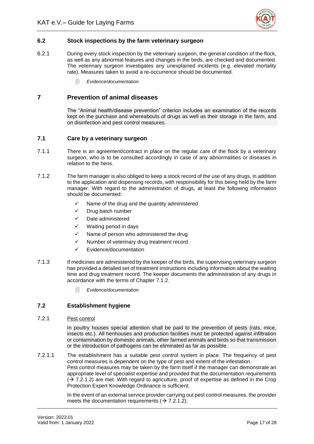

#### <span id="page-21-0"></span>**6.2 Stock inspections by the farm veterinary surgeon**

- 6.2.1 During every stock inspection by the veterinary surgeon, the general condition of the flock, as well as any abnormal features and changes in the birds, are checked and documented. The veterinary surgeon investigates any unexplained incidents (e.g. elevated mortality rate). Measures taken to avoid a re-occurrence should be documented.
	- *Evidence/documentation*

#### <span id="page-21-1"></span>**7 Prevention of animal diseases**

The "Animal health/disease prevention" criterion includes an examination of the records kept on the purchase and whereabouts of drugs as well as their storage in the farm, and on disinfection and pest control measures.

#### <span id="page-21-2"></span>**7.1 Care by a veterinary surgeon**

- 7.1.1 There is an agreement/contract in place on the regular care of the flock by a veterinary surgeon, who is to be consulted accordingly in case of any abnormalities or diseases in relation to the hens.
- 7.1.2 The farm manager is also obliged to keep a stock record of the use of any drugs, in addition to the application and dispensing records, with responsibility for this being held by the farm manager. With regard to the administration of drugs, at least the following information should be documented:
	- ✓ Name of the drug and the quantity administered
	- ✓ Drug batch number
	- ✓ Date administered
	- $\checkmark$  Waiting period in days
	- Name of person who administered the drug
	- ✓ Number of veterinary drug treatment record
	- ✓ Evidence/documentation
- 7.1.3 If medicines are administered by the keeper of the birds, the supervising veterinary surgeon has provided a detailed set of treatment instructions including information about the waiting time and drug treatment record. The keeper documents the administration of any drugs in accordance with the terms of Chapter 7.1.2.
	- *Evidence/documentation*

#### <span id="page-21-3"></span>**7.2 Establishment hygiene**

#### 7.2.1 Pest control

In poultry houses special attention shall be paid to the prevention of pests (rats, mice, insects etc.). All henhouses and production facilities must be protected against infiltration or contamination by domestic animals, other farmed animals and birds so that transmission or the introduction of pathogens can be eliminated as far as possible.

7.2.1.1 The establishment has a suitable pest control system in place. The frequency of pest control measures is dependent on the type of pest and extent of the infestation. Pest control measures may be taken by the farm itself if the manager can demonstrate an appropriate level of specialist expertise and provided that the documentation requirements  $(\rightarrow$  7.2.1.2) are met. With regard to agriculture, proof of expertise as defined in the Crop Protection Expert Knowledge Ordinance is sufficient.

> In the event of an external service provider carrying out pest control measures, the provider meets the documentation requirements ( $\rightarrow$  7.2.1.2).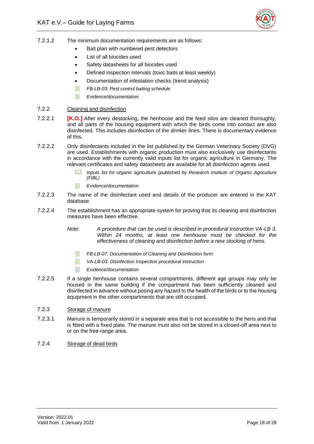

- 7.2.1.2 The minimum documentation requirements are as follows:
	- Bait plan with numbered pest detectors
	- List of all biocides used
	- Safety datasheets for all biocides used
	- Defined inspection intervals (toxic baits at least weekly)
	- Documentation of infestation checks (trend analysis)
	- *FB-LB-03: Pest control baiting schedule*
	- *Evidence/documentation*
- 7.2.2 Cleaning and disinfection
- 7.2.2.1 **[K.O.]** After every destocking, the henhouse and the feed silos are cleaned thoroughly, and all parts of the housing equipment with which the birds come into contact are also disinfected. This includes disinfection of the drinker lines. There is documentary evidence of this.
- 7.2.2.2 Only disinfectants included in the list published by the German Veterinary Society (DVG) are used. Establishments with organic production must also exclusively use disinfectants in accordance with the currently valid inputs list for organic agriculture in Germany. The relevant certificates and safety datasheets are available for all disinfection agents used.
	- *Inputs list for organic agriculture (published by Research Institute of Organic Agriculture (FiBL)*
	- *Evidence/documentation*
- 7.2.2.3 The name of the disinfectant used and details of the producer are entered in the KAT database.
- 7.2.2.4 The establishment has an appropriate system for proving that its cleaning and disinfection measures have been effective.
	- *Note: A procedure that can be used is described in procedural instruction VA-LB 3. Within 24 months, at least one henhouse must be checked for the effectiveness of cleaning and disinfection before a new stocking of hens.* 
		- *FB-LB-07: Documentation of Cleaning and Disinfection form*
		- *VA-LB-03: Disinfection Inspection procedural instruction*
		- *Evidence/documentation*
- 7.2.2.5 If a single henhouse contains several compartments, different age groups may only be housed in the same building if the compartment has been sufficiently cleaned and disinfected in advance without posing any hazard to the health of the birds or to the housing equipment in the other compartments that are still occupied.
- 7.2.3 Storage of manure
- 7.2.3.1 Manure is temporarily stored in a separate area that is not accessible to the hens and that is fitted with a fixed plate. The manure must also not be stored in a closed-off area next to or on the free-range area.
- 7.2.4 Storage of dead birds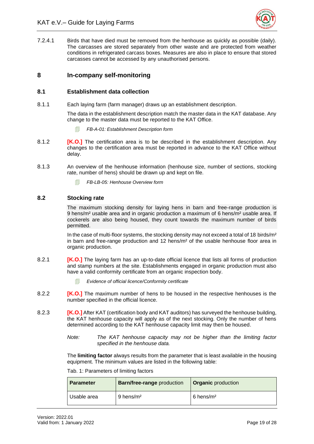

7.2.4.1 Birds that have died must be removed from the henhouse as quickly as possible (daily). The carcasses are stored separately from other waste and are protected from weather conditions in refrigerated carcass boxes. Measures are also in place to ensure that stored carcasses cannot be accessed by any unauthorised persons.

#### <span id="page-23-0"></span>**8 In-company self-monitoring**

#### <span id="page-23-1"></span>**8.1 Establishment data collection**

8.1.1 Each laying farm (farm manager) draws up an establishment description.

The data in the establishment description match the master data in the KAT database. Any change to the master data must be reported to the KAT Office.

- *FB-A-01: Establishment Description form*
- 8.1.2 **[K.O.]** The certification area is to be described in the establishment description. Any changes to the certification area must be reported in advance to the KAT Office without delay.
- 8.1.3 An overview of the henhouse information (henhouse size, number of sections, stocking rate, number of hens) should be drawn up and kept on file.
	- *FB-LB-05: Henhouse Overview form*

#### <span id="page-23-2"></span>**8.2 Stocking rate**

The maximum stocking density for laying hens in barn and free-range production is 9 hens/m² usable area and in organic production a maximum of 6 hens/m² usable area. If cockerels are also being housed, they count towards the maximum number of birds permitted.

In the case of multi-floor systems, the stocking density may not exceed a total of 18 birds/ $m<sup>2</sup>$ in barn and free-range production and 12 hens/m² of the usable henhouse floor area in organic production.

- 8.2.1 **[K.O.]** The laying farm has an up-to-date official licence that lists all forms of production and stamp numbers at the site. Establishments engaged in organic production must also have a valid conformity certificate from an organic inspection body.
	- *Evidence of official licence/Conformity certificate*
- 8.2.2 **[K.O.]** The maximum number of hens to be housed in the respective henhouses is the number specified in the official licence.
- 8.2.3 **[K.O.]** After KAT (certification body and KAT auditors) has surveyed the henhouse building, the KAT henhouse capacity will apply as of the next stocking. Only the number of hens determined according to the KAT henhouse capacity limit may then be housed.
	- *Note: The KAT henhouse capacity may not be higher than the limiting factor specified in the henhouse data.*

The **limiting factor** always results from the parameter that is least available in the housing equipment. The minimum values are listed in the following table:

| <b>Parameter</b> | <b>Barn/free-range</b> production | <b>Organic</b> production |
|------------------|-----------------------------------|---------------------------|
| Usable area      | 9 hens/m <sup>2</sup>             | $6$ hens/m <sup>2</sup>   |

#### <span id="page-23-3"></span>Tab. 1: Parameters of limiting factors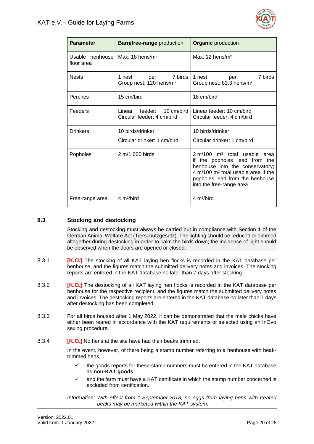

| <b>Parameter</b>              | <b>Barn/free-range</b> production                               | <b>Organic</b> production                                                                                                                                                                                                            |
|-------------------------------|-----------------------------------------------------------------|--------------------------------------------------------------------------------------------------------------------------------------------------------------------------------------------------------------------------------------|
| Usable henhouse<br>floor area | Max. $18$ hens/m <sup>2</sup>                                   | Max. $12$ hens/m <sup>2</sup>                                                                                                                                                                                                        |
| <b>Nests</b>                  | 7 birds<br>1 nest<br>per<br>Group nest: 120 hens/m <sup>2</sup> | 7 birds<br>1 nest<br>per<br>Group nest: 83.3 hens/m <sup>2</sup>                                                                                                                                                                     |
| Perches                       | 15 cm/bird                                                      | 18 cm/bird                                                                                                                                                                                                                           |
| Feeders                       | Linear feeder: 10 cm/bird<br>Circular feeder: 4 cm/bird         | Linear feeder: 10 cm/bird<br>Circular feeder: 4 cm/bird                                                                                                                                                                              |
| <b>Drinkers</b>               | 10 birds/drinker                                                | 10 birds/drinker                                                                                                                                                                                                                     |
|                               | Circular drinker: 1 cm/bird                                     | Circular drinker: 1 cm/bird                                                                                                                                                                                                          |
| Popholes                      | 2 m/1,000 birds                                                 | 2 m/100 m <sup>2</sup> total usable<br>area<br>the popholes lead from the<br>if<br>henhouse into the conservatory;<br>4 m/100 m <sup>2</sup> total usable area if the<br>popholes lead from the henhouse<br>into the free-range area |
| Free-range area               | 4 m <sup>2</sup> /bird                                          | 4 m <sup>2</sup> /bird                                                                                                                                                                                                               |

#### <span id="page-24-0"></span>**8.3 Stocking and destocking**

Stocking and destocking must always be carried out in compliance with Section 1 of the German Animal Welfare Act (Tierschutzgesetz). The lighting should be reduced or dimmed altogether during destocking in order to calm the birds down; the incidence of light should be observed when the doors are opened or closed.

- 8.3.1 **IK.O.** I The stocking of all KAT laying hen flocks is recorded in the KAT database per henhouse, and the figures match the submitted delivery notes and invoices. The stocking reports are entered in the KAT database no later than 7 days after stocking.
- 8.3.2 **[K.O.]** The destocking of all KAT laying hen flocks is recorded in the KAT database per henhouse for the respective recipient, and the figures match the submitted delivery notes and invoices. The destocking reports are entered in the KAT database no later than 7 days after destocking has been completed.
- 8.3.3 For all birds housed after 1 May 2022, it can be demonstrated that the male chicks have either been reared in accordance with the KAT requirements or selected using an InOvo sexing procedure.
- 8.3.4 **[K.O.]** No hens at the site have had their beaks trimmed.

In the event, however, of there being a stamp number referring to a henhouse with beaktrimmed hens,

- the goods reports for these stamp numbers must be entered in the KAT database as **non-KAT goods**
- and the farm must have a KAT certificate in which the stamp number concerned is excluded from certification.

*Information: With effect from 1 September 2018, no eggs from laying hens with treated beaks may be marketed within the KAT system.*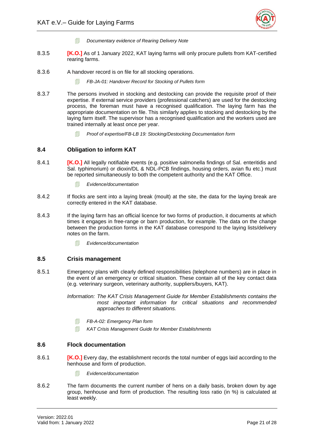

- *Documentary evidence of Rearing Delivery Note*
- 8.3.5 **[K.O.]** As of 1 January 2022, KAT laying farms will only procure pullets from KAT-certified rearing farms.
- 8.3.6 A handover record is on file for all stocking operations.
	- *FB-JA-01: Handover Record for Stocking of Pullets form*
- 8.3.7 The persons involved in stocking and destocking can provide the requisite proof of their expertise. If external service providers (professional catchers) are used for the destocking process, the foreman must have a recognised qualification. The laying farm has the appropriate documentation on file. This similarly applies to stocking and destocking by the laying farm itself. The supervisor has a recognised qualification and the workers used are trained internally at least once per year.
	- *Proof of expertise/FB-LB 19: Stocking/Destocking Documentation form*

#### <span id="page-25-0"></span>**8.4 Obligation to inform KAT**

- 8.4.1 **[K.O.]** All legally notifiable events (e.g. positive salmonella findings of Sal. enteritidis and Sal. typhimorium) or dioxin/DL & NDL-PCB findings, housing orders, avian flu etc.) must be reported simultaneously to both the competent authority and the KAT Office.
	- *Evidence/documentation*
- 8.4.2 If flocks are sent into a laying break (moult) at the site, the data for the laying break are correctly entered in the KAT database.
- 8.4.3 If the laying farm has an official licence for two forms of production, it documents at which times it engages in free-range or barn production, for example. The data on the change between the production forms in the KAT database correspond to the laying lists/delivery notes on the farm.
	- *Evidence/documentation*

#### <span id="page-25-1"></span>**8.5 Crisis management**

8.5.1 Emergency plans with clearly defined responsibilities (telephone numbers) are in place in the event of an emergency or critical situation. These contain all of the key contact data (e.g. veterinary surgeon, veterinary authority, suppliers/buyers, KAT).

> *Information: The KAT Crisis Management Guide for Member Establishments contains the most important information for critical situations and recommended approaches to different situations.*

- *FB-A-02: Emergency Plan form*
- *KAT Crisis Management Guide for Member Establishments*

#### <span id="page-25-2"></span>**8.6 Flock documentation**

- 8.6.1 **[K.O.]** Every day, the establishment records the total number of eggs laid according to the henhouse and form of production.
	- *Evidence/documentation*
- 8.6.2 The farm documents the current number of hens on a daily basis, broken down by age group, henhouse and form of production. The resulting loss ratio (in %) is calculated at least weekly.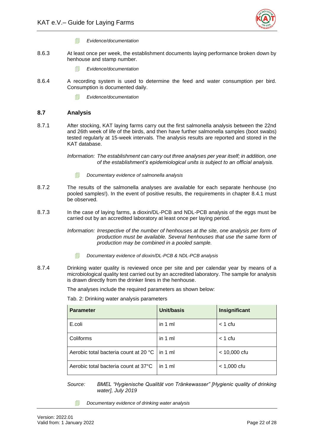

- *Evidence/documentation*
- 8.6.3 At least once per week, the establishment documents laying performance broken down by henhouse and stamp number.
	- *Evidence/documentation*
- 8.6.4 A recording system is used to determine the feed and water consumption per bird. Consumption is documented daily.
	- *Evidence/documentation*

#### <span id="page-26-0"></span>**8.7 Analysis**

8.7.1 After stocking, KAT laying farms carry out the first salmonella analysis between the 22nd and 26th week of life of the birds, and then have further salmonella samples (boot swabs) tested regularly at 15-week intervals. The analysis results are reported and stored in the KAT database.

> *Information: The establishment can carry out three analyses per year itself; in addition, one of the establishment's epidemiological units is subject to an official analysis.*

- *Documentary evidence of salmonella analysis*
- 8.7.2 The results of the salmonella analyses are available for each separate henhouse (no pooled samples!). In the event of positive results, the requirements in chapter 8.4.1 must be observed.
- 8.7.3 In the case of laying farms, a dioxin/DL-PCB and NDL-PCB analysis of the eggs must be carried out by an accredited laboratory at least once per laying period.

*Information: Irrespective of the number of henhouses at the site, one analysis per form of production must be available. Several henhouses that use the same form of production may be combined in a pooled sample.* 

- *Documentary evidence of dioxin/DL-PCB & NDL-PCB analysis*
- <span id="page-26-1"></span>8.7.4 Drinking water quality is reviewed once per site and per calendar year by means of a microbiological quality test carried out by an accredited laboratory. The sample for analysis is drawn directly from the drinker lines in the henhouse.

The analyses include the required parameters as shown below:

| <b>Parameter</b>                      | Unit/basis        | Insignificant  |
|---------------------------------------|-------------------|----------------|
| E.coli                                | in $1 \text{ ml}$ | $<$ 1 cfu      |
| Coliforms                             | in $1 \text{ ml}$ | $<$ 1 cfu      |
| Aerobic total bacteria count at 20 °C | $\ln 1$ ml        | $< 10,000$ cfu |
| Aerobic total bacteria count at 37°C  | in $1 \text{ ml}$ | $< 1,000$ cfu  |

Tab. 2: Drinking water analysis parameters

*Source: BMEL "Hygienische Qualität von Tränkewasser" [Hygienic quality of drinking water], July 2019*

*Documentary evidence of drinking water analysis*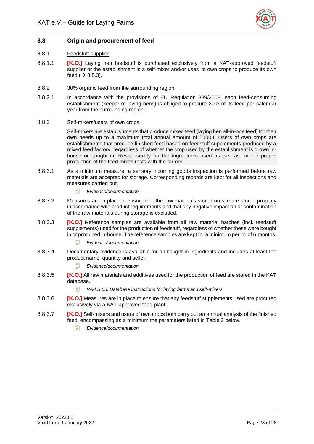

#### <span id="page-27-0"></span>**8.8 Origin and procurement of feed**

#### 8.8.1 Feedstuff supplier

8.8.1.1 **[K.O.]** Laying hen feedstuff is purchased exclusively from a KAT-approved feedstuff supplier or the establishment is a self-mixer and/or uses its own crops to produce its own feed  $(\rightarrow 8.8.3)$ .

#### 8.8.2 30% organic feed from the surrounding region

8.8.2.1 In accordance with the provisions of EU Regulation 889/2008, each feed-consuming establishment (keeper of laying hens) is obliged to procure 30% of its feed per calendar year from the surrounding region.

#### 8.8.3 Self-mixers/users of own crops

Self-mixers are establishments that produce mixed feed (laying hen all-in-one feed) for their own needs up to a maximum total annual amount of 5000 t. Users of own crops are establishments that produce finished feed based on feedstuff supplements produced by a mixed feed factory, regardless of whether the crop used by the establishment is grown inhouse or bought in. Responsibility for the ingredients used as well as for the proper production of the feed mixes rests with the farmer.

- 8.8.3.1 As a minimum measure, a sensory incoming goods inspection is performed before raw materials are accepted for storage. Corresponding records are kept for all inspections and measures carried out.
	- *Evidence/documentation*
- 8.8.3.2 Measures are in place to ensure that the raw materials stored on site are stored properly in accordance with product requirements and that any negative impact on or contamination of the raw materials during storage is excluded.
- 8.8.3.3 **[K.O.]** Reference samples are available from all raw material batches (incl. feedstuff supplements) used for the production of feedstuff, regardless of whether these were bought in or produced in-house. The reference samples are kept for a minimum period of 6 months.
	- *Evidence/documentation*
- 8.8.3.4 Documentary evidence is available for all bought-in ingredients and includes at least the product name, quantity and seller.
	- *Evidence/documentation*
- 8.8.3.5 **[K.O.]** All raw materials and additives used for the production of feed are stored in the KAT database.
	- *VA-LB 05: Database instructions for laying farms and self-mixers*
- 8.8.3.6 **[K.O.]** Measures are in place to ensure that any feedstuff supplements used are procured exclusively via a KAT-approved feed plant.
- 8.8.3.7 **[K.O.]** Self-mixers and users of own crops both carry out an annual analysis of the finished feed, encompassing as a minimum the parameters listed in Table 3 below.
	- *Evidence/documentation*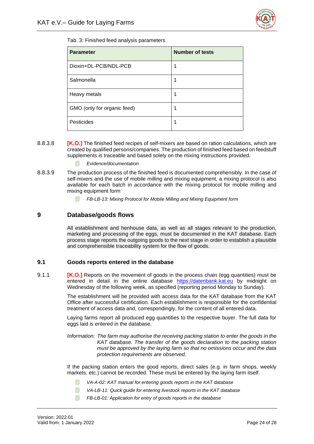

<span id="page-28-2"></span>Tab. 3: Finished feed analysis parameters

| <b>Parameter</b>            | <b>Number of tests</b> |
|-----------------------------|------------------------|
| Dioxin+DL-PCB/NDL-PCB       | 1                      |
| Salmonella                  | 1                      |
| Heavy metals                | 1                      |
| GMO (only for organic feed) | 1                      |
| Pesticides                  | 1                      |

- 8.8.3.8 **[K.O.]** The finished feed recipes of self-mixers are based on ration calculations, which are created by qualified persons/companies. The production of finished feed based on feedstuff supplements is traceable and based solely on the mixing instructions provided.
	- *Evidence/documentation*
- 8.8.3.9 The production process of the finished feed is documented comprehensibly. In the case of self-mixers and the use of mobile milling and mixing equipment, a mixing protocol is also available for each batch in accordance with the mixing protocol for mobile milling and mixing equipment form
	- *FB-LB-13: Mixing Protocol for Mobile Milling and Mixing Equipment form*

#### <span id="page-28-0"></span>**9 Database/goods flows**

All establishment and henhouse data, as well as all stages relevant to the production, marketing and processing of the eggs, must be documented in the KAT database. Each process stage reports the outgoing goods to the next stage in order to establish a plausible and comprehensible traceability system for the flow of goods.

#### <span id="page-28-1"></span>**9.1 Goods reports entered in the database**

9.1.1 **[K.O.]** Reports on the movement of goods in the process chain (egg quantities) must be entered in detail in the online database [https://datenbank.kat.eu](https://datenbank.kat.eu/) by midnight on Wednesday of the following week, as specified (reporting period Monday to Sunday).

> The establishment will be provided with access data for the KAT database from the KAT Office after successful certification. Each establishment is responsible for the confidential treatment of access data and, correspondingly, for the content of all entered data.

> Laying farms report all produced egg quantities to the respective buyer. The full data for eggs laid is entered in the database.

> *Information: The farm may authorise the receiving packing station to enter the goods in the KAT database. The transfer of the goods declaration to the packing station must be approved by the laying farm so that no omissions occur and the data protection requirements are observed.*

> If the packing station enters the good reports, direct sales (e.g. in farm shops, weekly markets, etc.) cannot be recorded. These must be entered by the laying farm itself.

- *VA-A-02: KAT manual for entering goods reports in the KAT database*
- *VA-LB-11: Quick guide for entering livestock reports in the KAT database*
- *FB-LB-01: Application for entry of goods reports in the database*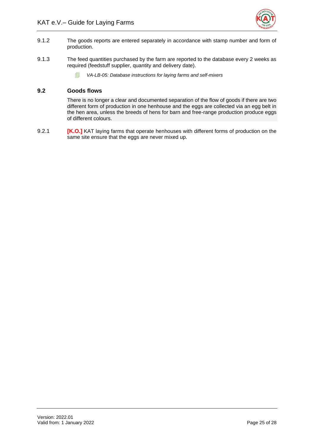

- 9.1.2 The goods reports are entered separately in accordance with stamp number and form of production.
- 9.1.3 The feed quantities purchased by the farm are reported to the database every 2 weeks as required (feedstuff supplier, quantity and delivery date).
	- *VA-LB-05: Database instructions for laying farms and self-mixers*

#### <span id="page-29-0"></span>**9.2 Goods flows**

There is no longer a clear and documented separation of the flow of goods if there are two different form of production in one henhouse and the eggs are collected via an egg belt in the hen area, unless the breeds of hens for barn and free-range production produce eggs of different colours.

9.2.1 **[K.O.]** KAT laying farms that operate henhouses with different forms of production on the same site ensure that the eggs are never mixed up.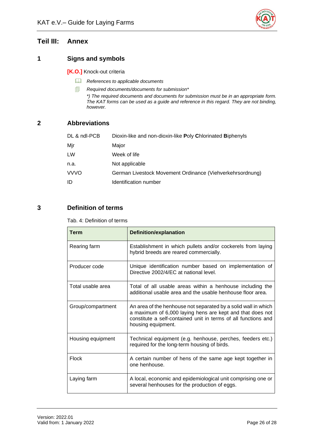

# <span id="page-30-0"></span>**Teil III: Annex**

#### <span id="page-30-1"></span>**1 Signs and symbols**

**[K.O.]** Knock-out criteria

- *References to applicable documents*
- *Required documents/documents for submission\**

*\*) The required documents and documents for submission must be in an appropriate form. The KAT forms can be used as a guide and reference in this regard. They are not binding, however.*

# <span id="page-30-2"></span>**2 Abbreviations**

| DL & ndl-PCB | Dioxin-like and non-dioxin-like Poly Chlorinated Biphenyls |
|--------------|------------------------------------------------------------|
| Mjr          | Major                                                      |
| LW           | Week of life                                               |
| n.a.         | Not applicable                                             |
| <b>VVVO</b>  | German Livestock Movement Ordinance (Viehverkehrsordnung)  |
| ID           | Identification number                                      |

# <span id="page-30-4"></span><span id="page-30-3"></span>**3 Definition of terms**

Tab. 4: Definition of terms

| Term              | <b>Definition/explanation</b>                                                                                                                                                                                       |
|-------------------|---------------------------------------------------------------------------------------------------------------------------------------------------------------------------------------------------------------------|
| Rearing farm      | Establishment in which pullets and/or cockerels from laying<br>hybrid breeds are reared commercially.                                                                                                               |
| Producer code     | Unique identification number based on implementation of<br>Directive 2002/4/EC at national level.                                                                                                                   |
| Total usable area | Total of all usable areas within a henhouse including the<br>additional usable area and the usable henhouse floor area.                                                                                             |
| Group/compartment | An area of the henhouse not separated by a solid wall in which<br>a maximum of 6,000 laying hens are kept and that does not<br>constitute a self-contained unit in terms of all functions and<br>housing equipment. |
| Housing equipment | Technical equipment (e.g. henhouse, perches, feeders etc.)<br>required for the long-term housing of birds.                                                                                                          |
| Flock             | A certain number of hens of the same age kept together in<br>one henhouse.                                                                                                                                          |
| Laying farm       | A local, economic and epidemiological unit comprising one or<br>several henhouses for the production of eggs.                                                                                                       |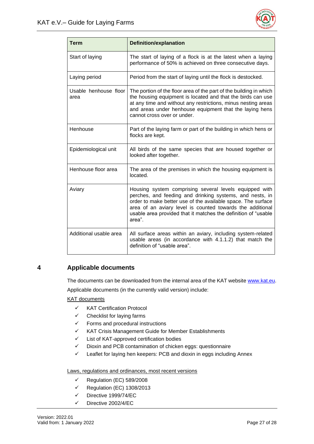

| <b>Term</b>                   | <b>Definition/explanation</b>                                                                                                                                                                                                                                                                                               |
|-------------------------------|-----------------------------------------------------------------------------------------------------------------------------------------------------------------------------------------------------------------------------------------------------------------------------------------------------------------------------|
| Start of laying               | The start of laying of a flock is at the latest when a laying<br>performance of 50% is achieved on three consecutive days.                                                                                                                                                                                                  |
| Laying period                 | Period from the start of laying until the flock is destocked.                                                                                                                                                                                                                                                               |
| Usable henhouse floor<br>area | The portion of the floor area of the part of the building in which<br>the housing equipment is located and that the birds can use<br>at any time and without any restrictions, minus nesting areas<br>and areas under henhouse equipment that the laying hens<br>cannot cross over or under.                                |
| Henhouse                      | Part of the laying farm or part of the building in which hens or<br>flocks are kept.                                                                                                                                                                                                                                        |
| Epidemiological unit          | All birds of the same species that are housed together or<br>looked after together.                                                                                                                                                                                                                                         |
| Henhouse floor area           | The area of the premises in which the housing equipment is<br>located.                                                                                                                                                                                                                                                      |
| Aviary                        | Housing system comprising several levels equipped with<br>perches, and feeding and drinking systems, and nests, in<br>order to make better use of the available space. The surface<br>area of an aviary level is counted towards the additional<br>usable area provided that it matches the definition of "usable<br>area". |
| Additional usable area        | All surface areas within an aviary, including system-related<br>usable areas (in accordance with 4.1.1.2) that match the<br>definition of "usable area".                                                                                                                                                                    |

# <span id="page-31-0"></span>**4 Applicable documents**

The documents can be downloaded from the internal area of the KAT website [www.kat.eu.](http://www.kat.eu/)

Applicable documents (in the currently valid version) include:

KAT documents

- ✓ KAT Certification Protocol
- $\checkmark$  Checklist for laying farms
- $\checkmark$  Forms and procedural instructions
- ✓ KAT Crisis Management Guide for Member Establishments
- ✓ List of KAT-approved certification bodies
- ✓ Dioxin and PCB contamination of chicken eggs: questionnaire
- ✓ Leaflet for laying hen keepers: PCB and dioxin in eggs including Annex

Laws, regulations and ordinances, most recent versions

- $\checkmark$  Regulation (EC) 589/2008
- ✓ Regulation (EC) 1308/2013
- ✓ Directive 1999/74/EC
- ✓ Directive 2002/4/EC